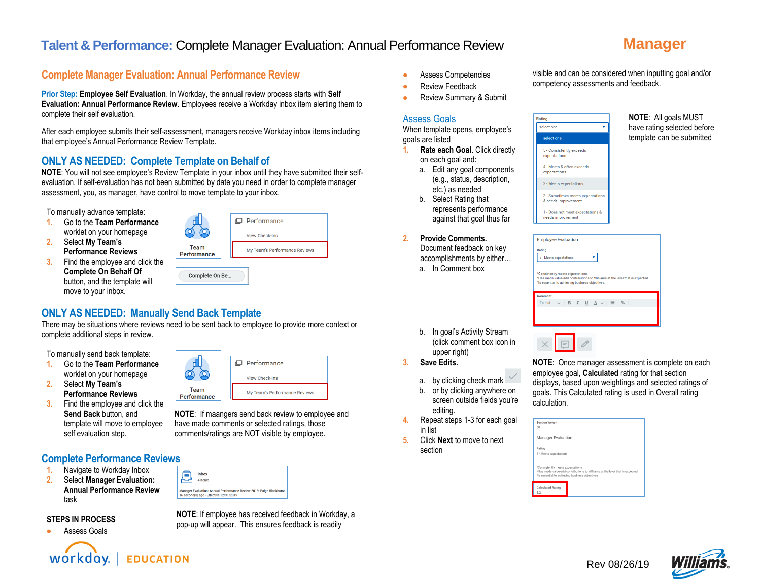visible and can be considered when inputting goal and/or

competency assessments and feedback.

# **Complete Manager Evaluation: Annual Performance Review**

**Prior Step: Employee Self Evaluation**. In Workday, the annual review process starts with **Self Evaluation: Annual Performance Review**. Employees receive a Workday inbox item alerting them to complete their self evaluation.

After each employee submits their self-assessment, managers receive Workday inbox items including that employee's Annual Performance Review Template.

# **ONLY AS NEEDED: Complete Template on Behalf of**

**NOTE**: You will not see employee's Review Template in your inbox until they have submitted their selfevaluation. If self-evaluation has not been submitted by date you need in order to complete manager assessment, you, as manager, have control to move template to your inbox.

To manually advance template:

- **1.** Go to the **Team Performance** worklet on your homepage
- **2.** Select **My Team's Performance Reviews**
- **3.** Find the employee and click the **Complete On Behalf Of**  button, and the template will move to your inbox.



# **ONLY AS NEEDED: Manually Send Back Template**

There may be situations where reviews need to be sent back to employee to provide more context or complete additional steps in review.

> ⋒  $\circ$

> > **Team**

Performance

To manually send back template:

- **1.** Go to the **Team Performance** worklet on your homepage
- **2.** Select **My Team's Performance Reviews**
- **3.** Find the employee and click the **Send Back** button, and template will move to employee self evaluation step.

## **Complete Performance Reviews**

- **1.** Navigate to Workday Inbox
- **2.** Select **Manager Evaluation: Annual Performance Review** task

### **STEPS IN PROCESS**







**NOTE**: If employee has received feedback in Workday, a pop-up will appear. This ensures feedback is readily

**NOTE**: If maangers send back review to employee and have made comments or selected ratings, those comments/ratings are NOT visible by employee.

romance

View Check-Ins

My Team's Performance Reviews

- Assess Competencies
- **Review Feedback**
- Review Summary & Submit

## Assess Goals

When template opens, employee's goals are listed

- **1. Rate each Goal**. Click directly on each goal and:
	- a. Edit any goal components (e.g., status, description, etc.) as needed
	- b. Select Rating that represents performance against that goal thus far
- **2. Provide Comments.**  Document feedback on key accomplishments by either…
	- a. In Comment box

Rating select one select one 5 - Consistently exceeds expectations 4 - Meets & often exceeds 3 - Meets expectations 2 - Sometimes meets expectation & needs improvement 1 - Does not meet expectations &

**NOTE**: All goals MUST have rating selected before template can be submitted

| <b>Employee Evaluation</b>                                                                                                                                           |
|----------------------------------------------------------------------------------------------------------------------------------------------------------------------|
| Rating                                                                                                                                                               |
| 3 - Meets expectations                                                                                                                                               |
| *Consistently meets expectations.<br>*Has made value-add contributions to Williams at the level that is expected.<br>*Is essential to achieving business objectives. |
| Comment                                                                                                                                                              |
| $\vee$ B $I$ U $\underline{A}$ $\vee$ $\equiv$ $\otimes$<br>Format                                                                                                   |
|                                                                                                                                                                      |
|                                                                                                                                                                      |

- b. In goal's Activity Stream (click comment box icon in upper right)
- **3. Save Edits.**
	- a. by clicking check mark
	- b. or by clicking anywhere on screen outside fields you're editing.
- **4.** Repeat steps 1-3 for each goal in list
- **5.** Click **Next** to move to next section



| <b>Section Weight</b><br>50                                                          |                                                                              |
|--------------------------------------------------------------------------------------|------------------------------------------------------------------------------|
| Manager Evaluation                                                                   |                                                                              |
| Rating                                                                               |                                                                              |
| 3 - Meets expectations                                                               |                                                                              |
| *Consistently meets expectations.<br>*Is essential to achieving business objectives. | *Has made value-add contributions to Williams at the level that is expected. |
| <b>Calculated Rating</b><br>3.2                                                      |                                                                              |

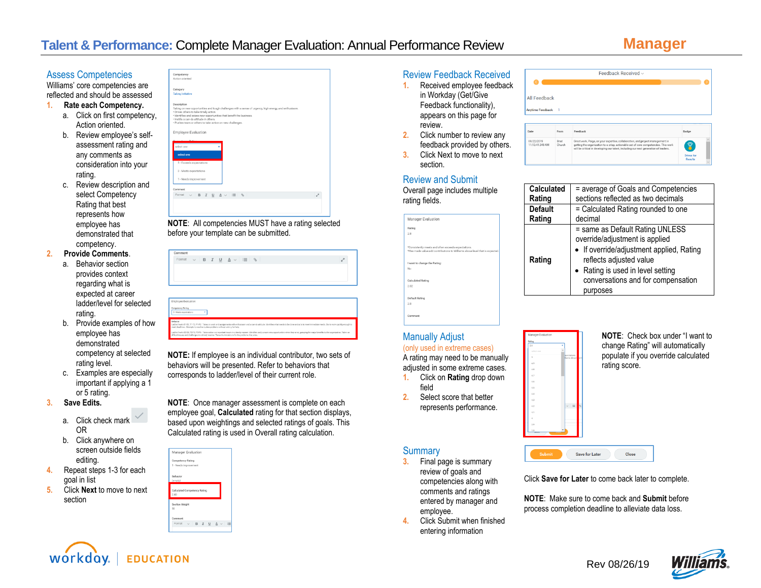Assess Competencies

Williams' core competencies are reflected and should be assessed

### **1. Rate each Competency.**

- a. Click on first competency, Action oriented.
- b. Review employee's selfassessment rating and any comments as consideration into your rating.
- c. Review description and select Competency Rating that best represents how employee has demonstrated that competency.

## **2. Provide Comments**.

- a. Behavior section provides context regarding what is expected at career ladder/level for selected rating.
- b. Provide examples of how employee has demonstrated competency at selected rating level.
- c. Examples are especially important if applying a 1 or 5 rating.

### **3. Save Edits.**

- a. Click check mark OR
- b. Click anywhere on screen outside fields editing.
- **4.** Repeat steps 1-3 for each goal in list
- **5.** Click **Next** to move to next section



**NOTE**: All competencies MUST have a rating selected before your template can be submitted.

| Comment                |   |                                                                               |                                                                               |  |                                                                                                                                                                                                               |
|------------------------|---|-------------------------------------------------------------------------------|-------------------------------------------------------------------------------|--|---------------------------------------------------------------------------------------------------------------------------------------------------------------------------------------------------------------|
|                        |   |                                                                               | Format $\vee$ <b>B</b> $I$ <b>U</b> $\triangle$ $\vee$ <b>II</b> $\heartsuit$ |  | s                                                                                                                                                                                                             |
|                        |   |                                                                               |                                                                               |  |                                                                                                                                                                                                               |
|                        |   |                                                                               |                                                                               |  |                                                                                                                                                                                                               |
|                        |   |                                                                               |                                                                               |  |                                                                                                                                                                                                               |
|                        |   |                                                                               |                                                                               |  |                                                                                                                                                                                                               |
|                        |   |                                                                               |                                                                               |  |                                                                                                                                                                                                               |
|                        |   |                                                                               |                                                                               |  |                                                                                                                                                                                                               |
|                        |   |                                                                               |                                                                               |  |                                                                                                                                                                                                               |
|                        |   |                                                                               |                                                                               |  |                                                                                                                                                                                                               |
| Employee Evaluation    |   |                                                                               |                                                                               |  |                                                                                                                                                                                                               |
| Competency Rating      |   |                                                                               |                                                                               |  |                                                                                                                                                                                                               |
| 3 - Meets expectations | ۰ |                                                                               |                                                                               |  |                                                                                                                                                                                                               |
| Behavior               |   |                                                                               |                                                                               |  |                                                                                                                                                                                                               |
|                        |   |                                                                               |                                                                               |  | Ladder/levels 81-82, T1-T2, P1-P2: Takes on work and assignments with enthusiasm and a car-do attitude. Identifies what needs to be done and acts to meet immediate needs. Starts work quickly enough to      |
|                        |   | meet deadlines. Attempts to resolve routine problems without asking for help. |                                                                               |  | Ladder/levels (\$3-05, T3-75, P3-P6; Takes action on important insure in a timely manner, identifies and pursuas new opportunities when they arise, granding the major benefits to the organization. Takes on |

**NOTE:** If employee is an individual contributor, two sets of behaviors will be presented. Refer to behaviors that corresponds to ladder/level of their current role.

**NOTE**: Once manager assessment is complete on each employee goal, **Calculated** rating for that section displays, based upon weightings and selected ratings of goals. This Calculated rating is used in Overall rating calculation.



# Review Feedback Received

- **1.** Received employee feedback in Workday (Get/Give Feedback functionality), appears on this page for review.
- **2.** Click number to review any feedback provided by others.
- **3.** Click Next to move to next section.

## Review and Submit

Overall page includes multiple rating fields.

| Manager Evaluation                                                                                                                 |
|------------------------------------------------------------------------------------------------------------------------------------|
| Rating<br>2.8                                                                                                                      |
| *Consistently meets and often exceeds expectations.<br>*Has made value-add contributions to Williams above level that is expected. |
| I want to change the Rating:<br>No                                                                                                 |
| Calculated Rating<br>2.82                                                                                                          |
| Default Rating<br>28                                                                                                               |
| Comment                                                                                                                            |

## Manually Adjust

### (only used in extreme cases)

A rating may need to be manually adjusted in some extreme cases. **1.** Click on **Rating** drop down

- field
- **2.** Select score that better represents performance.

## **Summary**

- **3.** Final page is summary review of goals and competencies along with comments and ratings entered by manager and employee.
- **4.** Click Submit when finished entering information



| <b>Calculated</b> | = average of Goals and Competencies                                                                                                                                                                                             |
|-------------------|---------------------------------------------------------------------------------------------------------------------------------------------------------------------------------------------------------------------------------|
| Rating            | sections reflected as two decimals                                                                                                                                                                                              |
| <b>Default</b>    | = Calculated Rating rounded to one                                                                                                                                                                                              |
| Rating            | decimal                                                                                                                                                                                                                         |
| Rating            | = same as Default Rating UNLESS<br>override/adjustment is applied<br>• If override/adjustment applied, Rating<br>reflects adjusted value<br>• Rating is used in level setting<br>conversations and for compensation<br>purposes |



### **NOTE**: Check box under "I want to change Rating" will automatically populate if you override calculated rating score.



Click **Save for Later** to come back later to complete.

**NOTE**: Make sure to come back and **Submit** before process completion deadline to alleviate data loss.





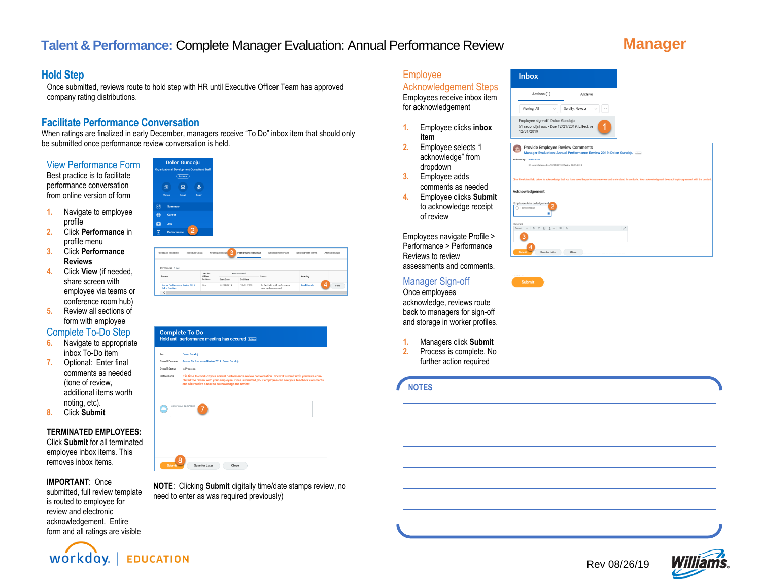## **Hold Step**

Once submitted, reviews route to hold step with HR until Executive Officer Team has approved company rating distributions.

# **Facilitate Performance Conversation**

When ratings are finalized in early December, managers receive "To Do" inbox item that should only be submitted once performance review conversation is held.

View Performance Form

Best practice is to facilitate performance conversation from online version of form

- **1.** Navigate to employee profile
- **2.** Click **Performance** in profile menu
- **3.** Click **Performance Reviews**
- **4.** Click **View** (if needed, share screen with employee via teams or conference room hub)
- **5.** Review all sections of form with employee

## Complete To-Do Step

- **6.** Navigate to appropriate inbox To-Do item
- **7.** Optional: Enter final comments as needed (tone of review, additional items worth noting, etc).
- **8.** Click **Submit**

### **TERMINATED EMPLOYEES:**

Click **Submit** for all terminated employee inbox items. This removes inbox items.

### **IMPORTANT**: Once

submitted, full review template is routed to employee for review and electronic acknowledgement. Entire form and all ratings are visible



| Feedback Received                                       | Individual Goals   | 3<br>Organization Go. | Performance Reviews | Development Plans                                    | Development items  | Archived Goals |
|---------------------------------------------------------|--------------------|-----------------------|---------------------|------------------------------------------------------|--------------------|----------------|
| In Progress 1 ham                                       |                    |                       |                     |                                                      |                    |                |
| Review                                                  | Contains<br>Hidden |                       | Review Period       | Status                                               | Awaiting           |                |
|                                                         | Sections           | Start Date            | Foul Date           |                                                      |                    |                |
| <b>Antual Performance Review 2019:</b><br>Dolon Gundaju | Yes                | 01/01/2019            | 12/31/2019          | To Do: Hold until performance<br>meeting has occured | <b>Brad Church</b> | 4<br>View      |
|                                                         |                    |                       |                     |                                                      |                    |                |

| <b>Overall Process</b><br>Annual Performance Review 2019: Dolon Gundoiu<br><b>Overall Status</b><br>In Progress<br>Instructions<br>It is time to conduct your annual performance review conversation. Do NOT submit until you have com-<br>pleted the review with your employee. Once submitted, your employee can see your feedback comments<br>and will receive a task to acknowledge the review. |
|-----------------------------------------------------------------------------------------------------------------------------------------------------------------------------------------------------------------------------------------------------------------------------------------------------------------------------------------------------------------------------------------------------|
|                                                                                                                                                                                                                                                                                                                                                                                                     |
|                                                                                                                                                                                                                                                                                                                                                                                                     |
|                                                                                                                                                                                                                                                                                                                                                                                                     |
| enter your comment                                                                                                                                                                                                                                                                                                                                                                                  |
|                                                                                                                                                                                                                                                                                                                                                                                                     |
|                                                                                                                                                                                                                                                                                                                                                                                                     |
|                                                                                                                                                                                                                                                                                                                                                                                                     |

**NOTE**: Clicking **Submit** digitally time/date stamps review, no need to enter as was required previously)

### Employee Acknowledgement Steps

Employees receive inbox item for acknowledgement

- **1.** Employee clicks **inbox item**
- **2.** Employee selects "I acknowledge" from dropdown
- **3.** Employee adds comments as needed
- **4.** Employee clicks **Submit** to acknowledge receipt of review

Employees navigate Profile > Performance > Performance Reviews to review assessments and comments.

### Manager Sign-off

Once employees acknowledge, reviews route back to managers for sign-off and storage in worker profiles.

- **1.** Managers click **Submit**
- **2.** Process is complete. No further action required

## **NOTES**





**Inbox**